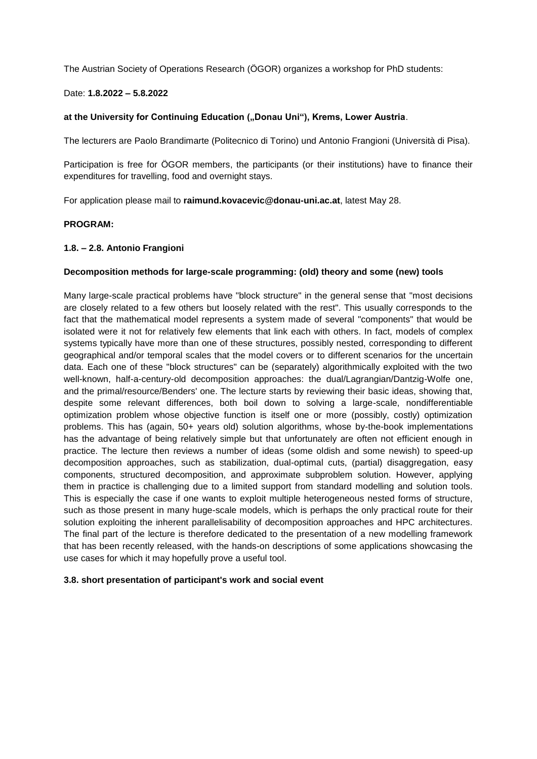The Austrian Society of Operations Research (ÖGOR) organizes a workshop for PhD students:

#### Date: **1.8.2022 – 5.8.2022**

### at the University for Continuing Education ("Donau Uni"), Krems, Lower Austria.

The lecturers are Paolo Brandimarte (Politecnico di Torino) und Antonio Frangioni (Università di Pisa).

Participation is free for ÖGOR members, the participants (or their institutions) have to finance their expenditures for travelling, food and overnight stays.

For application please mail to **raimund.kovacevic@donau-uni.ac.at**, latest May 28.

## **PROGRAM:**

#### **1.8. – 2.8. Antonio Frangioni**

## **Decomposition methods for large-scale programming: (old) theory and some (new) tools**

Many large-scale practical problems have "block structure" in the general sense that "most decisions are closely related to a few others but loosely related with the rest". This usually corresponds to the fact that the mathematical model represents a system made of several "components" that would be isolated were it not for relatively few elements that link each with others. In fact, models of complex systems typically have more than one of these structures, possibly nested, corresponding to different geographical and/or temporal scales that the model covers or to different scenarios for the uncertain data. Each one of these "block structures" can be (separately) algorithmically exploited with the two well-known, half-a-century-old decomposition approaches: the dual/Lagrangian/Dantzig-Wolfe one, and the primal/resource/Benders' one. The lecture starts by reviewing their basic ideas, showing that, despite some relevant differences, both boil down to solving a large-scale, nondifferentiable optimization problem whose objective function is itself one or more (possibly, costly) optimization problems. This has (again, 50+ years old) solution algorithms, whose by-the-book implementations has the advantage of being relatively simple but that unfortunately are often not efficient enough in practice. The lecture then reviews a number of ideas (some oldish and some newish) to speed-up decomposition approaches, such as stabilization, dual-optimal cuts, (partial) disaggregation, easy components, structured decomposition, and approximate subproblem solution. However, applying them in practice is challenging due to a limited support from standard modelling and solution tools. This is especially the case if one wants to exploit multiple heterogeneous nested forms of structure, such as those present in many huge-scale models, which is perhaps the only practical route for their solution exploiting the inherent parallelisability of decomposition approaches and HPC architectures. The final part of the lecture is therefore dedicated to the presentation of a new modelling framework that has been recently released, with the hands-on descriptions of some applications showcasing the use cases for which it may hopefully prove a useful tool.

#### **3.8. short presentation of participant's work and social event**